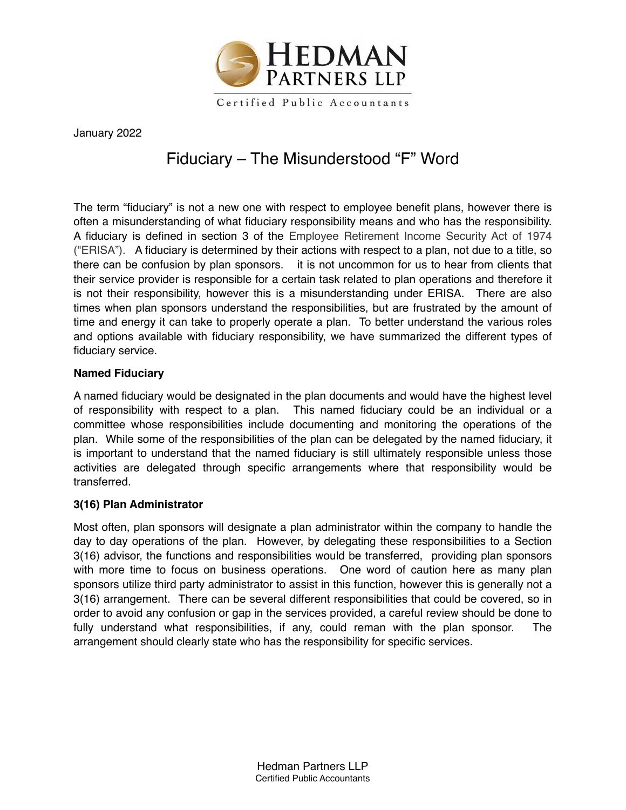

January 2022

# Fiduciary – The Misunderstood "F" Word

The term "fiduciary" is not a new one with respect to employee benefit plans, however there is often a misunderstanding of what fiduciary responsibility means and who has the responsibility. A fiduciary is defined in section 3 of the Employee Retirement Income Security Act of 1974 ("ERISA"). A fiduciary is determined by their actions with respect to a plan, not due to a title, so there can be confusion by plan sponsors. it is not uncommon for us to hear from clients that their service provider is responsible for a certain task related to plan operations and therefore it is not their responsibility, however this is a misunderstanding under ERISA. There are also times when plan sponsors understand the responsibilities, but are frustrated by the amount of time and energy it can take to properly operate a plan. To better understand the various roles and options available with fiduciary responsibility, we have summarized the different types of fiduciary service.

#### **Named Fiduciary**

A named fiduciary would be designated in the plan documents and would have the highest level of responsibility with respect to a plan. This named fiduciary could be an individual or a committee whose responsibilities include documenting and monitoring the operations of the plan. While some of the responsibilities of the plan can be delegated by the named fiduciary, it is important to understand that the named fiduciary is still ultimately responsible unless those activities are delegated through specific arrangements where that responsibility would be transferred.

## **3(16) Plan Administrator**

Most often, plan sponsors will designate a plan administrator within the company to handle the day to day operations of the plan. However, by delegating these responsibilities to a Section 3(16) advisor, the functions and responsibilities would be transferred, providing plan sponsors with more time to focus on business operations. One word of caution here as many plan sponsors utilize third party administrator to assist in this function, however this is generally not a 3(16) arrangement. There can be several different responsibilities that could be covered, so in order to avoid any confusion or gap in the services provided, a careful review should be done to fully understand what responsibilities, if any, could reman with the plan sponsor. The arrangement should clearly state who has the responsibility for specific services.